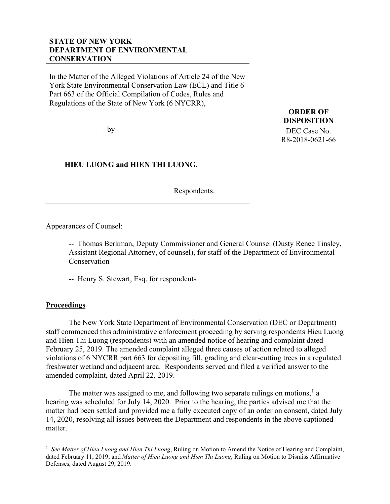## **STATE OF NEW YORK DEPARTMENT OF ENVIRONMENTAL CONSERVATION**

In the Matter of the Alleged Violations of Article 24 of the New York State Environmental Conservation Law (ECL) and Title 6 Part 663 of the Official Compilation of Codes, Rules and Regulations of the State of New York (6 NYCRR),

- by -

 **HIEU LUONG and HIEN THI LUONG**,

Respondents.

**ORDER OF DISPOSITION** DEC Case No. R8-2018-0621-66

Appearances of Counsel:

-- Thomas Berkman, Deputy Commissioner and General Counsel (Dusty Renee Tinsley, Assistant Regional Attorney, of counsel), for staff of the Department of Environmental Conservation

-- Henry S. Stewart, Esq. for respondents

## **Proceedings**

The New York State Department of Environmental Conservation (DEC or Department) staff commenced this administrative enforcement proceeding by serving respondents Hieu Luong and Hien Thi Luong (respondents) with an amended notice of hearing and complaint dated February 25, 2019. The amended complaint alleged three causes of action related to alleged violations of 6 NYCRR part 663 for depositing fill, grading and clear-cutting trees in a regulated freshwater wetland and adjacent area. Respondents served and filed a verified answer to the amended complaint, dated April 22, 2019.

The matter was assigned to me, and following two separate rulings on motions,<sup>[1](#page-0-0)</sup> a hearing was scheduled for July 14, 2020. Prior to the hearing, the parties advised me that the matter had been settled and provided me a fully executed copy of an order on consent, dated July 14, 2020, resolving all issues between the Department and respondents in the above captioned matter.

<span id="page-0-0"></span><sup>&</sup>lt;sup>1</sup> See Matter of Hieu Luong and Hien Thi Luong, Ruling on Motion to Amend the Notice of Hearing and Complaint, dated February 11, 2019; and *Matter of Hieu Luong and Hien Thi Luong*, Ruling on Motion to Dismiss Affirmative Defenses, dated August 29, 2019.